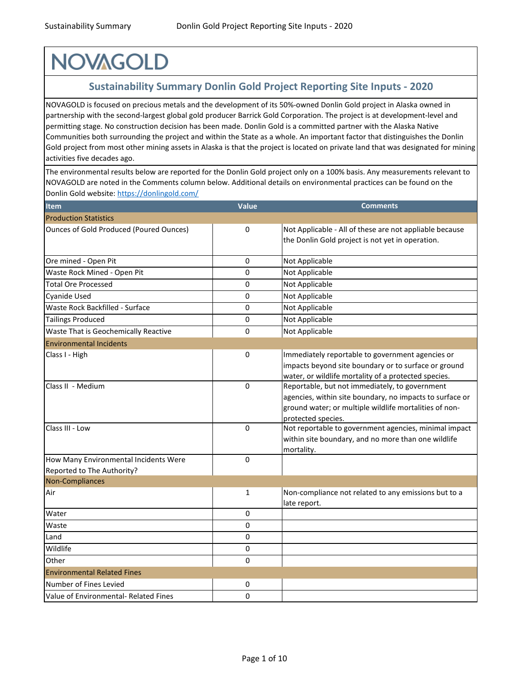## **NOVAGOLD**

### **Sustainability Summary Donlin Gold Project Reporting Site Inputs - 2020**

NOVAGOLD is focused on precious metals and the development of its 50%-owned Donlin Gold project in Alaska owned in partnership with the second-largest global gold producer Barrick Gold Corporation. The project is at development-level and permitting stage. No construction decision has been made. Donlin Gold is a committed partner with the Alaska Native Communities both surrounding the project and within the State as a whole. An important factor that distinguishes the Donlin Gold project from most other mining assets in Alaska is that the project is located on private land that was designated for mining activities five decades ago.

[The environmental results below are reported for](https://donlingold.com/) the Donlin Gold project only on a 100% basis. Any measurements relevant to [NOVAGOLD are noted in the Comments column be](https://donlingold.com/)low. Additional details on environmental practices can be found on the [Donlin Gold website: https://donlingold.com/](https://donlingold.com/)

| <b>Item</b>                                                         | <b>Value</b> | <b>Comments</b>                                                                                                                                                                            |
|---------------------------------------------------------------------|--------------|--------------------------------------------------------------------------------------------------------------------------------------------------------------------------------------------|
| <b>Production Statistics</b>                                        |              |                                                                                                                                                                                            |
| <b>Ounces of Gold Produced (Poured Ounces)</b>                      | 0            | Not Applicable - All of these are not appliable because<br>the Donlin Gold project is not yet in operation.                                                                                |
| Ore mined - Open Pit                                                | 0            | Not Applicable                                                                                                                                                                             |
| Waste Rock Mined - Open Pit                                         | 0            | Not Applicable                                                                                                                                                                             |
| <b>Total Ore Processed</b>                                          | 0            | Not Applicable                                                                                                                                                                             |
| <b>Cyanide Used</b>                                                 | 0            | Not Applicable                                                                                                                                                                             |
| Waste Rock Backfilled - Surface                                     | 0            | Not Applicable                                                                                                                                                                             |
| <b>Tailings Produced</b>                                            | 0            | Not Applicable                                                                                                                                                                             |
| Waste That is Geochemically Reactive                                | 0            | Not Applicable                                                                                                                                                                             |
| <b>Environmental Incidents</b>                                      |              |                                                                                                                                                                                            |
| Class I - High                                                      | 0            | Immediately reportable to government agencies or<br>impacts beyond site boundary or to surface or ground<br>water, or wildlife mortality of a protected species.                           |
| Class II - Medium                                                   | 0            | Reportable, but not immediately, to government<br>agencies, within site boundary, no impacts to surface or<br>ground water; or multiple wildlife mortalities of non-<br>protected species. |
| Class III - Low                                                     | 0            | Not reportable to government agencies, minimal impact<br>within site boundary, and no more than one wildlife<br>mortality.                                                                 |
| How Many Environmental Incidents Were<br>Reported to The Authority? | 0            |                                                                                                                                                                                            |
| Non-Compliances                                                     |              |                                                                                                                                                                                            |
| Air                                                                 | 1            | Non-compliance not related to any emissions but to a<br>late report.                                                                                                                       |
| Water                                                               | 0            |                                                                                                                                                                                            |
| Waste                                                               | 0            |                                                                                                                                                                                            |
| Land                                                                | 0            |                                                                                                                                                                                            |
| Wildlife                                                            | 0            |                                                                                                                                                                                            |
| Other                                                               | 0            |                                                                                                                                                                                            |
| <b>Environmental Related Fines</b>                                  |              |                                                                                                                                                                                            |
| Number of Fines Levied                                              | 0            |                                                                                                                                                                                            |
| Value of Environmental- Related Fines                               | 0            |                                                                                                                                                                                            |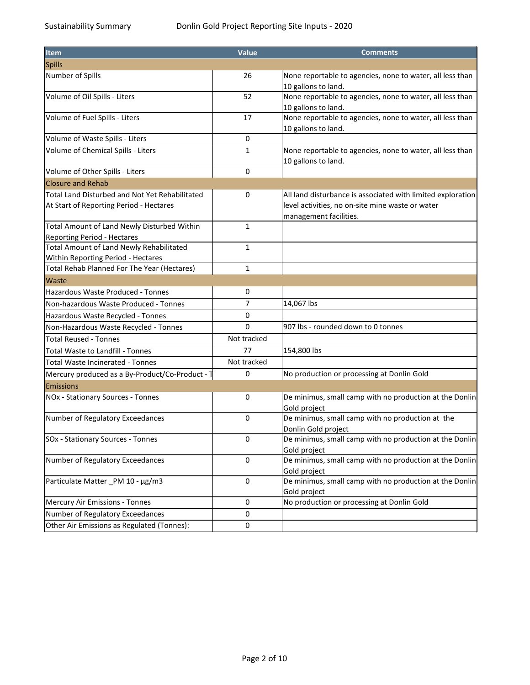| <b>Item</b>                                                                               | Value        | <b>Comments</b>                                                                                                                           |
|-------------------------------------------------------------------------------------------|--------------|-------------------------------------------------------------------------------------------------------------------------------------------|
| <b>Spills</b>                                                                             |              |                                                                                                                                           |
| Number of Spills                                                                          | 26           | None reportable to agencies, none to water, all less than<br>10 gallons to land.                                                          |
| Volume of Oil Spills - Liters                                                             | 52           | None reportable to agencies, none to water, all less than<br>10 gallons to land.                                                          |
| Volume of Fuel Spills - Liters                                                            | 17           | None reportable to agencies, none to water, all less than<br>10 gallons to land.                                                          |
| Volume of Waste Spills - Liters                                                           | 0            |                                                                                                                                           |
| Volume of Chemical Spills - Liters                                                        | 1            | None reportable to agencies, none to water, all less than<br>10 gallons to land.                                                          |
| Volume of Other Spills - Liters                                                           | 0            |                                                                                                                                           |
| <b>Closure and Rehab</b>                                                                  |              |                                                                                                                                           |
| Total Land Disturbed and Not Yet Rehabilitated<br>At Start of Reporting Period - Hectares | 0            | All land disturbance is associated with limited exploration<br>level activities, no on-site mine waste or water<br>management facilities. |
| Total Amount of Land Newly Disturbed Within<br><b>Reporting Period - Hectares</b>         | 1            |                                                                                                                                           |
| Total Amount of Land Newly Rehabilitated<br>Within Reporting Period - Hectares            | $\mathbf{1}$ |                                                                                                                                           |
| Total Rehab Planned For The Year (Hectares)                                               | 1            |                                                                                                                                           |
| Waste                                                                                     |              |                                                                                                                                           |
| <b>Hazardous Waste Produced - Tonnes</b>                                                  | 0            |                                                                                                                                           |
| Non-hazardous Waste Produced - Tonnes                                                     | 7            | 14,067 lbs                                                                                                                                |
| Hazardous Waste Recycled - Tonnes                                                         | 0            |                                                                                                                                           |
| Non-Hazardous Waste Recycled - Tonnes                                                     | 0            | 907 lbs - rounded down to 0 tonnes                                                                                                        |
| <b>Total Reused - Tonnes</b>                                                              | Not tracked  |                                                                                                                                           |
| Total Waste to Landfill - Tonnes                                                          | 77           | 154,800 lbs                                                                                                                               |
| Total Waste Incinerated - Tonnes                                                          | Not tracked  |                                                                                                                                           |
| Mercury produced as a By-Product/Co-Product - T                                           | 0            | No production or processing at Donlin Gold                                                                                                |
| Emissions                                                                                 |              |                                                                                                                                           |
| NOx - Stationary Sources - Tonnes                                                         | 0            | De minimus, small camp with no production at the Donlin<br>Gold project                                                                   |
| Number of Regulatory Exceedances                                                          | 0            | De minimus, small camp with no production at the<br>Donlin Gold project                                                                   |
| <b>SOx - Stationary Sources - Tonnes</b>                                                  | 0            | De minimus, small camp with no production at the Donlin<br>Gold project                                                                   |
| Number of Regulatory Exceedances                                                          | 0            | De minimus, small camp with no production at the Donlin<br>Gold project                                                                   |
| Particulate Matter PM 10 - µg/m3                                                          | 0            | De minimus, small camp with no production at the Donlin<br>Gold project                                                                   |
| Mercury Air Emissions - Tonnes                                                            | 0            | No production or processing at Donlin Gold                                                                                                |
| Number of Regulatory Exceedances                                                          | 0            |                                                                                                                                           |
| Other Air Emissions as Regulated (Tonnes):                                                | 0            |                                                                                                                                           |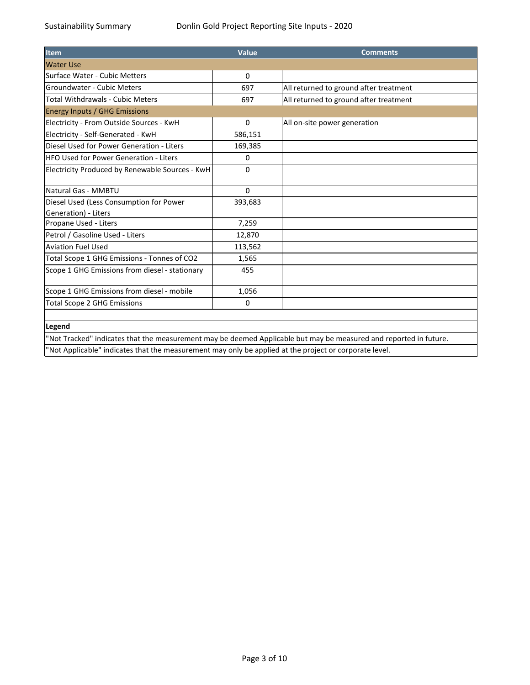| <b>Item</b>                                                                                            | Value    | <b>Comments</b>                                                                                                   |
|--------------------------------------------------------------------------------------------------------|----------|-------------------------------------------------------------------------------------------------------------------|
| <b>Water Use</b>                                                                                       |          |                                                                                                                   |
| Surface Water - Cubic Metters                                                                          | 0        |                                                                                                                   |
| Groundwater - Cubic Meters                                                                             | 697      | All returned to ground after treatment                                                                            |
| Total Withdrawals - Cubic Meters                                                                       | 697      | All returned to ground after treatment                                                                            |
| <b>Energy Inputs / GHG Emissions</b>                                                                   |          |                                                                                                                   |
| Electricity - From Outside Sources - KwH                                                               | 0        | All on-site power generation                                                                                      |
| Electricity - Self-Generated - KwH                                                                     | 586,151  |                                                                                                                   |
| Diesel Used for Power Generation - Liters                                                              | 169,385  |                                                                                                                   |
| <b>HFO Used for Power Generation - Liters</b>                                                          | 0        |                                                                                                                   |
| Electricity Produced by Renewable Sources - KwH                                                        | 0        |                                                                                                                   |
| Natural Gas - MMBTU                                                                                    | $\Omega$ |                                                                                                                   |
| Diesel Used (Less Consumption for Power                                                                | 393,683  |                                                                                                                   |
| Generation) - Liters                                                                                   |          |                                                                                                                   |
| Propane Used - Liters                                                                                  | 7,259    |                                                                                                                   |
| Petrol / Gasoline Used - Liters                                                                        | 12,870   |                                                                                                                   |
| <b>Aviation Fuel Used</b>                                                                              | 113,562  |                                                                                                                   |
| Total Scope 1 GHG Emissions - Tonnes of CO2                                                            | 1,565    |                                                                                                                   |
| Scope 1 GHG Emissions from diesel - stationary                                                         | 455      |                                                                                                                   |
| Scope 1 GHG Emissions from diesel - mobile                                                             | 1,056    |                                                                                                                   |
| <b>Total Scope 2 GHG Emissions</b>                                                                     | 0        |                                                                                                                   |
|                                                                                                        |          |                                                                                                                   |
| Legend                                                                                                 |          |                                                                                                                   |
|                                                                                                        |          | 'Not Tracked" indicates that the measurement may be deemed Applicable but may be measured and reported in future. |
| "Not Applicable" indicates that the measurement may only be applied at the project or corporate level. |          |                                                                                                                   |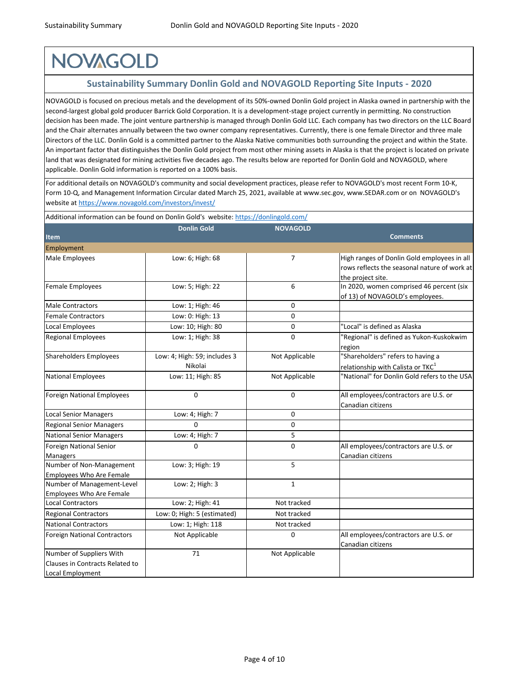# **NOVAGOLD**

### **Sustainability Summary Donlin Gold and NOVAGOLD Reporting Site Inputs - 2020**

NOVAGOLD is focused on precious metals and the development of its 50%-owned Donlin Gold project in Alaska owned in partnership with the second-largest global gold producer Barrick Gold Corporation. It is a development-stage project currently in permitting. No construction decision has been made. The joint venture partnership is managed through Donlin Gold LLC. Each company has two directors on the LLC Board and the Chair alternates annually between the two owner company representatives. Currently, there is one female Director and three male Directors of the LLC. Donlin Gold is a committed partner to the Alaska Native communities both surrounding the project and within the State. An important factor that distinguishes the Donlin Gold project from most other mining assets in Alaska is that the project is located on private land that was designated for mining activities five decades ago. The results below are reported for Donlin Gold and NOVAGOLD, where applicable. Donlin Gold information is reported on a 100% basis.

[For additional details on NOVAGO](https://www.novagold.com/investors/invest/)LD's community and social development practices, please refer to NOVAGOLD's most recent Form 10-K, [Form 10-Q, and Management Info](https://www.novagold.com/investors/invest/)rmation Circular dated March 25, 2021, available at www.sec.gov, www.SEDAR.com or on NOVAGOLD's [website at https://www.novagold](https://www.novagold.com/investors/invest/).com/investors/invest/

|                                     | Additional information can be found on Donlin Gold's website: https://donlingold.com/ |                 |                                               |
|-------------------------------------|---------------------------------------------------------------------------------------|-----------------|-----------------------------------------------|
|                                     | <b>Donlin Gold</b>                                                                    | <b>NOVAGOLD</b> |                                               |
| Item                                |                                                                                       |                 | <b>Comments</b>                               |
| Employment                          |                                                                                       |                 |                                               |
| Male Employees                      | Low: 6; High: 68                                                                      | $\overline{7}$  | High ranges of Donlin Gold employees in all   |
|                                     |                                                                                       |                 | rows reflects the seasonal nature of work at  |
|                                     |                                                                                       |                 | the project site.                             |
| Female Employees                    | Low: 5; High: 22                                                                      | 6               | In 2020, women comprised 46 percent (six      |
|                                     |                                                                                       |                 | of 13) of NOVAGOLD's employees.               |
| <b>Male Contractors</b>             | Low: 1; High: 46                                                                      | $\Omega$        |                                               |
| <b>Female Contractors</b>           | Low: 0: High: 13                                                                      | 0               |                                               |
| Local Employees                     | Low: 10; High: 80                                                                     | 0               | "Local" is defined as Alaska                  |
| <b>Regional Employees</b>           | Low: 1; High: 38                                                                      | 0               | "Regional" is defined as Yukon-Kuskokwim      |
|                                     |                                                                                       |                 | region                                        |
| <b>Shareholders Employees</b>       | Low: 4; High: 59; includes 3                                                          | Not Applicable  | "Shareholders" refers to having a             |
|                                     | Nikolai                                                                               |                 | relationship with Calista or TKC <sup>1</sup> |
| <b>National Employees</b>           | Low: 11; High: 85                                                                     | Not Applicable  | "National" for Donlin Gold refers to the USA  |
| <b>Foreign National Employees</b>   | 0                                                                                     | 0               | All employees/contractors are U.S. or         |
|                                     |                                                                                       |                 | Canadian citizens                             |
| <b>Local Senior Managers</b>        | Low: 4; High: 7                                                                       | 0               |                                               |
| <b>Regional Senior Managers</b>     | $\Omega$                                                                              | 0               |                                               |
| <b>National Senior Managers</b>     | Low: 4; High: 7                                                                       | 5               |                                               |
| Foreign National Senior             | 0                                                                                     | $\mathbf 0$     | All employees/contractors are U.S. or         |
| <b>Managers</b>                     |                                                                                       |                 | Canadian citizens                             |
| Number of Non-Management            | Low: 3; High: 19                                                                      | 5               |                                               |
| <b>Employees Who Are Female</b>     |                                                                                       |                 |                                               |
| Number of Management-Level          | Low: 2; High: 3                                                                       | $\mathbf{1}$    |                                               |
| <b>Employees Who Are Female</b>     |                                                                                       |                 |                                               |
| <b>Local Contractors</b>            | Low: 2; High: 41                                                                      | Not tracked     |                                               |
| <b>Regional Contractors</b>         | Low: 0; High: 5 (estimated)                                                           | Not tracked     |                                               |
| <b>National Contractors</b>         | Low: 1; High: 118                                                                     | Not tracked     |                                               |
| <b>Foreign National Contractors</b> | Not Applicable                                                                        | 0               | All employees/contractors are U.S. or         |
|                                     |                                                                                       |                 | Canadian citizens                             |
| Number of Suppliers With            | 71                                                                                    | Not Applicable  |                                               |
| Clauses in Contracts Related to     |                                                                                       |                 |                                               |
| Local Employment                    |                                                                                       |                 |                                               |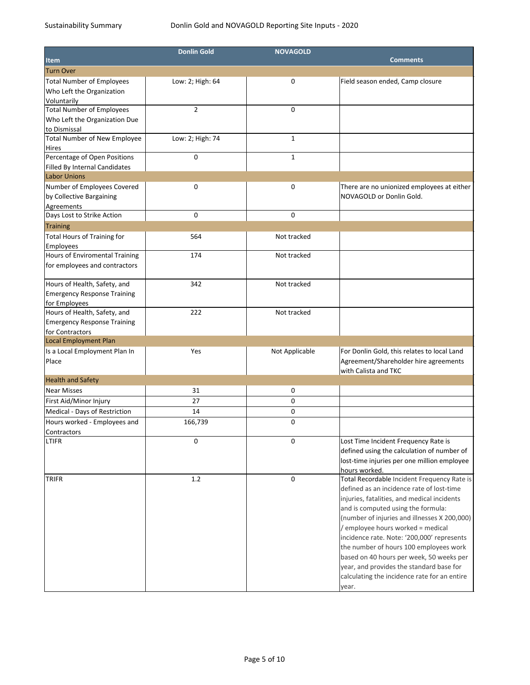|                                      | <b>Donlin Gold</b> | <b>NOVAGOLD</b> |                                              |
|--------------------------------------|--------------------|-----------------|----------------------------------------------|
| <b>Item</b>                          |                    |                 | <b>Comments</b>                              |
| <b>Turn Over</b>                     |                    |                 |                                              |
| <b>Total Number of Employees</b>     | Low: 2; High: 64   | 0               | Field season ended, Camp closure             |
| Who Left the Organization            |                    |                 |                                              |
| Voluntarily                          |                    |                 |                                              |
| <b>Total Number of Employees</b>     | $\overline{2}$     | 0               |                                              |
| Who Left the Organization Due        |                    |                 |                                              |
| to Dismissal                         |                    |                 |                                              |
| <b>Total Number of New Employee</b>  | Low: 2; High: 74   | $\mathbf{1}$    |                                              |
| Hires                                |                    |                 |                                              |
| Percentage of Open Positions         | 0                  | $\mathbf{1}$    |                                              |
| <b>Filled By Internal Candidates</b> |                    |                 |                                              |
| <b>Labor Unions</b>                  |                    |                 |                                              |
| Number of Employees Covered          | 0                  | 0               | There are no unionized employees at either   |
| by Collective Bargaining             |                    |                 | NOVAGOLD or Donlin Gold.                     |
| Agreements                           |                    |                 |                                              |
| Days Lost to Strike Action           | 0                  | 0               |                                              |
| Training                             |                    |                 |                                              |
| <b>Total Hours of Training for</b>   | 564                | Not tracked     |                                              |
| Employees                            |                    |                 |                                              |
| Hours of Enviromental Training       | 174                | Not tracked     |                                              |
| for employees and contractors        |                    |                 |                                              |
|                                      |                    |                 |                                              |
| Hours of Health, Safety, and         | 342                | Not tracked     |                                              |
| <b>Emergency Response Training</b>   |                    |                 |                                              |
| for Employees                        |                    |                 |                                              |
| Hours of Health, Safety, and         | 222                | Not tracked     |                                              |
| <b>Emergency Response Training</b>   |                    |                 |                                              |
| for Contractors                      |                    |                 |                                              |
| <b>Local Employment Plan</b>         |                    |                 |                                              |
| Is a Local Employment Plan In        | Yes                | Not Applicable  | For Donlin Gold, this relates to local Land  |
| Place                                |                    |                 | Agreement/Shareholder hire agreements        |
|                                      |                    |                 | with Calista and TKC                         |
| <b>Health and Safety</b>             |                    |                 |                                              |
| <b>Near Misses</b>                   | 31                 | 0               |                                              |
| First Aid/Minor Injury               | 27                 | 0               |                                              |
| Medical - Days of Restriction        | 14                 | 0               |                                              |
| Hours worked - Employees and         | 166,739            | 0               |                                              |
| Contractors                          |                    |                 |                                              |
| <b>LTIFR</b>                         | 0                  | 0               | Lost Time Incident Frequency Rate is         |
|                                      |                    |                 | defined using the calculation of number of   |
|                                      |                    |                 | lost-time injuries per one million employee  |
|                                      |                    |                 | hours worked.                                |
| <b>TRIFR</b>                         | 1.2                | 0               | Total Recordable Incident Frequency Rate is  |
|                                      |                    |                 | defined as an incidence rate of lost-time    |
|                                      |                    |                 | injuries, fatalities, and medical incidents  |
|                                      |                    |                 | and is computed using the formula:           |
|                                      |                    |                 | (number of injuries and illnesses X 200,000) |
|                                      |                    |                 | / employee hours worked = medical            |
|                                      |                    |                 | incidence rate. Note: '200,000' represents   |
|                                      |                    |                 | the number of hours 100 employees work       |
|                                      |                    |                 | based on 40 hours per week, 50 weeks per     |
|                                      |                    |                 | year, and provides the standard base for     |
|                                      |                    |                 | calculating the incidence rate for an entire |
|                                      |                    |                 | year.                                        |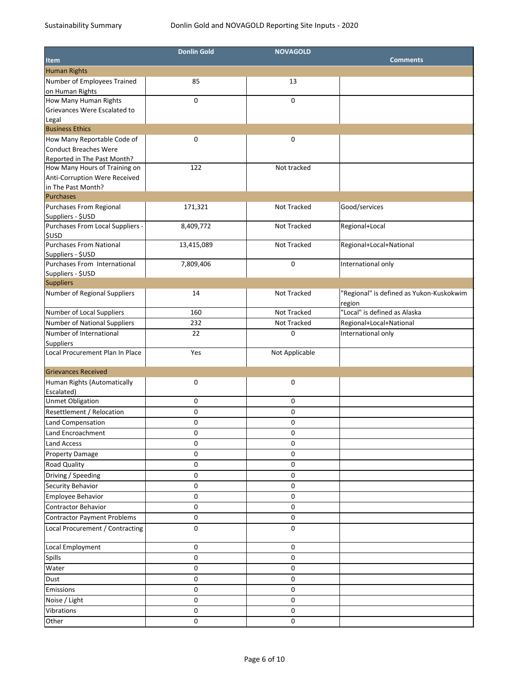|                                                   | <b>Donlin Gold</b> | <b>NOVAGOLD</b> |                                          |
|---------------------------------------------------|--------------------|-----------------|------------------------------------------|
| <b>Item</b>                                       |                    |                 | <b>Comments</b>                          |
| <b>Human Rights</b>                               |                    |                 |                                          |
| Number of Employees Trained                       | 85                 | 13              |                                          |
| on Human Rights                                   |                    |                 |                                          |
| How Many Human Rights                             | 0                  | 0               |                                          |
| Grievances Were Escalated to                      |                    |                 |                                          |
| Legal                                             |                    |                 |                                          |
| <b>Business Ethics</b>                            |                    |                 |                                          |
| How Many Reportable Code of                       | 0                  | 0               |                                          |
| Conduct Breaches Were                             |                    |                 |                                          |
| Reported in The Past Month?                       |                    |                 |                                          |
| How Many Hours of Training on                     | 122                | Not tracked     |                                          |
| Anti-Corruption Were Received                     |                    |                 |                                          |
| in The Past Month?                                |                    |                 |                                          |
| <b>Purchases</b>                                  |                    |                 |                                          |
| Purchases From Regional                           | 171,321            | Not Tracked     | Good/services                            |
| Suppliers - \$USD                                 |                    |                 |                                          |
| Purchases From Local Suppliers -                  | 8,409,772          | Not Tracked     | Regional+Local                           |
| <b>\$USD</b>                                      |                    |                 |                                          |
| <b>Purchases From National</b>                    | 13,415,089         | Not Tracked     | Regional+Local+National                  |
| Suppliers - \$USD<br>Purchases From International |                    |                 |                                          |
|                                                   | 7,809,406          | 0               | International only                       |
| Suppliers - \$USD<br><b>Suppliers</b>             |                    |                 |                                          |
|                                                   |                    |                 |                                          |
| Number of Regional Suppliers                      | 14                 | Not Tracked     | "Regional" is defined as Yukon-Kuskokwim |
| Number of Local Suppliers                         | 160                | Not Tracked     | region<br>"Local" is defined as Alaska   |
|                                                   |                    |                 |                                          |
| Number of National Suppliers                      | 232                | Not Tracked     | Regional+Local+National                  |
| Number of International                           | 22                 | 0               | International only                       |
| <b>Suppliers</b>                                  |                    |                 |                                          |
| Local Procurement Plan In Place                   | Yes                | Not Applicable  |                                          |
| <b>Grievances Received</b>                        |                    |                 |                                          |
| Human Rights (Automatically                       | 0                  | 0               |                                          |
| Escalated)                                        |                    |                 |                                          |
| <b>Unmet Obligation</b>                           | 0                  | 0               |                                          |
| Resettlement / Relocation                         | 0                  | $\pmb{0}$       |                                          |
| Land Compensation                                 | 0                  | 0               |                                          |
| Land Encroachment                                 |                    |                 |                                          |
|                                                   | $\mathbf 0$        | 0               |                                          |
| <b>Land Access</b>                                | 0                  | 0               |                                          |
| <b>Property Damage</b>                            | 0                  | 0               |                                          |
| <b>Road Quality</b>                               | 0                  | 0               |                                          |
| Driving / Speeding                                | 0                  | 0               |                                          |
| <b>Security Behavior</b>                          | 0                  | 0               |                                          |
| Employee Behavior                                 | 0                  | 0               |                                          |
| <b>Contractor Behavior</b>                        | 0                  | 0               |                                          |
| <b>Contractor Payment Problems</b>                | 0                  | 0               |                                          |
| Local Procurement / Contracting                   | 0                  | 0               |                                          |
|                                                   |                    |                 |                                          |
| Local Employment                                  | 0                  | 0               |                                          |
| <b>Spills</b>                                     | 0                  | 0               |                                          |
| Water                                             | 0                  | 0               |                                          |
| Dust                                              | 0                  | 0               |                                          |
| Emissions                                         | 0                  | 0               |                                          |
| Noise / Light                                     | 0                  | 0               |                                          |
| Vibrations                                        | 0                  | 0               |                                          |
|                                                   |                    |                 |                                          |
| Other                                             | 0                  | 0               |                                          |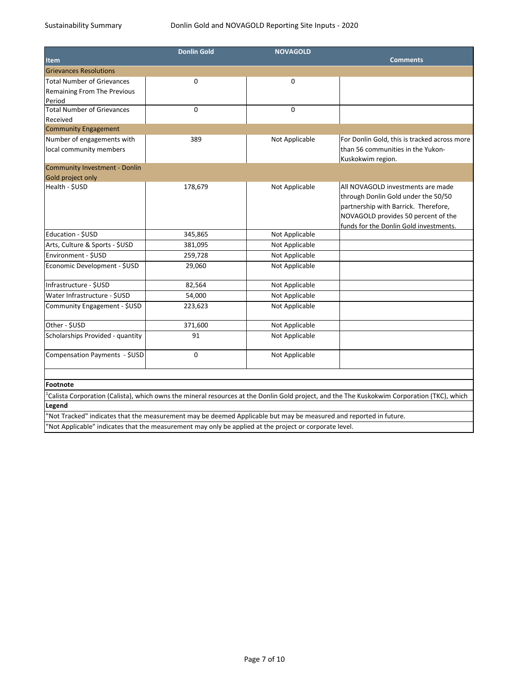|                                    | <b>Donlin Gold</b>                                                                                                | <b>NOVAGOLD</b> |                                                                                                                                            |
|------------------------------------|-------------------------------------------------------------------------------------------------------------------|-----------------|--------------------------------------------------------------------------------------------------------------------------------------------|
| <b>Item</b>                        |                                                                                                                   |                 | <b>Comments</b>                                                                                                                            |
| <b>Grievances Resolutions</b>      |                                                                                                                   |                 |                                                                                                                                            |
| <b>Total Number of Grievances</b>  | 0                                                                                                                 | 0               |                                                                                                                                            |
| <b>Remaining From The Previous</b> |                                                                                                                   |                 |                                                                                                                                            |
| Period                             |                                                                                                                   |                 |                                                                                                                                            |
| <b>Total Number of Grievances</b>  | 0                                                                                                                 | $\mathbf 0$     |                                                                                                                                            |
| Received                           |                                                                                                                   |                 |                                                                                                                                            |
| <b>Community Engagement</b>        |                                                                                                                   |                 |                                                                                                                                            |
| Number of engagements with         | 389                                                                                                               | Not Applicable  | For Donlin Gold, this is tracked across more                                                                                               |
| local community members            |                                                                                                                   |                 | than 56 communities in the Yukon-<br>Kuskokwim region.                                                                                     |
| Community Investment - Donlin      |                                                                                                                   |                 |                                                                                                                                            |
| Gold project only                  |                                                                                                                   |                 |                                                                                                                                            |
| Health - \$USD                     | 178,679                                                                                                           | Not Applicable  | All NOVAGOLD investments are made                                                                                                          |
|                                    |                                                                                                                   |                 | through Donlin Gold under the 50/50                                                                                                        |
|                                    |                                                                                                                   |                 | partnership with Barrick. Therefore,                                                                                                       |
|                                    |                                                                                                                   |                 | NOVAGOLD provides 50 percent of the                                                                                                        |
| Education - \$USD                  |                                                                                                                   |                 | funds for the Donlin Gold investments.                                                                                                     |
|                                    | 345,865                                                                                                           | Not Applicable  |                                                                                                                                            |
| Arts, Culture & Sports - \$USD     | 381,095                                                                                                           | Not Applicable  |                                                                                                                                            |
| Environment - \$USD                | 259,728                                                                                                           | Not Applicable  |                                                                                                                                            |
| Economic Development - \$USD       | 29,060                                                                                                            | Not Applicable  |                                                                                                                                            |
| Infrastructure - \$USD             | 82,564                                                                                                            | Not Applicable  |                                                                                                                                            |
| Water Infrastructure - \$USD       | 54,000                                                                                                            | Not Applicable  |                                                                                                                                            |
| Community Engagement - \$USD       | 223,623                                                                                                           | Not Applicable  |                                                                                                                                            |
| Other - \$USD                      | 371,600                                                                                                           | Not Applicable  |                                                                                                                                            |
| Scholarships Provided - quantity   | 91                                                                                                                | Not Applicable  |                                                                                                                                            |
| Compensation Payments - \$USD      | 0                                                                                                                 | Not Applicable  |                                                                                                                                            |
| Footnote                           |                                                                                                                   |                 |                                                                                                                                            |
|                                    |                                                                                                                   |                 | Calista Corporation (Calista), which owns the mineral resources at the Donlin Gold project, and the The Kuskokwim Corporation (TKC), which |
| Legend                             |                                                                                                                   |                 |                                                                                                                                            |
|                                    | 'Not Tracked" indicates that the measurement may be deemed Applicable but may be measured and reported in future. |                 |                                                                                                                                            |
|                                    | Not Applicable" indicates that the measurement may only be applied at the project or corporate level.             |                 |                                                                                                                                            |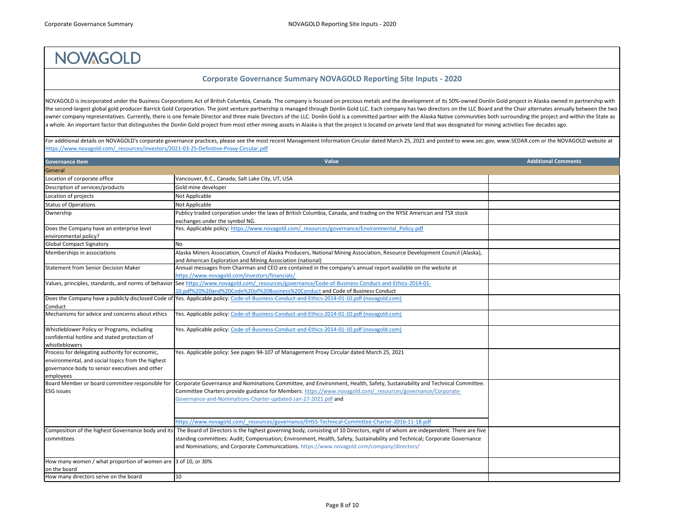## **NOVAGOLD**

NOVAGOLD is incorporated under the Business Corporations Act of British Columbia, Canada. The company is focused on precious metals and the development of its 50%-owned Donlin Gold project in Alaska owned in partnership with the second-largest global gold producer Barrick Gold Corporation. The joint venture partnership is managed through Donlin Gold LLC. Each company has two directors on the LLC Board and the Chair alternates annually between owner company representatives. Currently, there is one female Director and three male Directors of the LLC. Donlin Gold is a committed partner with the Alaska Native communities both surrounding the project and within the a whole. An important factor that distinguishes the Donlin Gold project from most other mining assets in Alaska is that the project is located on private land that was designated for mining activities five decades ago.

[For additional details on NOVAGOLD's corporate gove](https://www.novagold.com/_resources/investors/2021-03-25-Definitive-Proxy-Circular.pdf)rnance practices, please see the most recent Management Information Circular dated March 25, 2021 and posted to www.sec.gov, www.SEDAR.com or the NOVAGOLD website at [https://www.novagold.com/\\_resources/investors/20](https://www.novagold.com/_resources/investors/2021-03-25-Definitive-Proxy-Circular.pdf)21-03-25-Definitive-Proxy-Circular.pdf

| <b>Governance Item</b>                                                                                                                                             | Value                                                                                                                                                                                                                                                                                                                                                                                                         | <b>Additional Comments</b> |
|--------------------------------------------------------------------------------------------------------------------------------------------------------------------|---------------------------------------------------------------------------------------------------------------------------------------------------------------------------------------------------------------------------------------------------------------------------------------------------------------------------------------------------------------------------------------------------------------|----------------------------|
| General                                                                                                                                                            |                                                                                                                                                                                                                                                                                                                                                                                                               |                            |
| Location of corporate office                                                                                                                                       | Vancouver, B.C., Canada; Salt Lake City, UT, USA                                                                                                                                                                                                                                                                                                                                                              |                            |
| Description of services/products                                                                                                                                   | Gold mine developer                                                                                                                                                                                                                                                                                                                                                                                           |                            |
| Location of projects                                                                                                                                               | Not Applicable                                                                                                                                                                                                                                                                                                                                                                                                |                            |
| <b>Status of Operations</b>                                                                                                                                        | Not Applicable                                                                                                                                                                                                                                                                                                                                                                                                |                            |
| Ownership                                                                                                                                                          | Publicy traded corporation under the laws of British Columbia, Canada, and trading on the NYSE American and TSX stock<br>exchanges under the symbol NG.                                                                                                                                                                                                                                                       |                            |
| Does the Company have an enterprise level                                                                                                                          | Yes. Applicable policy: https://www.novagold.com/ resources/governance/Environmental Policy.pdf                                                                                                                                                                                                                                                                                                               |                            |
| environmental policy?                                                                                                                                              |                                                                                                                                                                                                                                                                                                                                                                                                               |                            |
| <b>Global Compact Signatory</b>                                                                                                                                    | No                                                                                                                                                                                                                                                                                                                                                                                                            |                            |
| Memberships in associations                                                                                                                                        | Alaska Miners Association, Council of Alaska Producers, National Mining Association, Resource Development Council (Alaska),<br>and American Exploration and Mining Association (national)                                                                                                                                                                                                                     |                            |
| <b>Statement from Senior Decision Maker</b>                                                                                                                        | Annual messages from Chairman and CEO are contained in the company's annual report available on the website at<br>https://www.novagold.com/investors/financials/                                                                                                                                                                                                                                              |                            |
|                                                                                                                                                                    | Values, principles, standards, and norms of behavior See https://www.novagold.com/ resources/governance/Code-of-Business-Conduct-and-Ethics-2014-01-<br>10.pdf%20%20and%20Code%20of%20Business%20Conduct and Code of Business Conduct                                                                                                                                                                         |                            |
| Conduct                                                                                                                                                            | Does the Company have a publicly disclosed Code of  Yes. Applicable policy: Code-of-Business-Conduct-and-Ethics-2014-01-10.pdf (novagold.com)                                                                                                                                                                                                                                                                 |                            |
| Mechanisms for advice and concerns about ethics                                                                                                                    | Yes. Applicable policy: Code-of-Business-Conduct-and-Ethics-2014-01-10.pdf (novagold.com)                                                                                                                                                                                                                                                                                                                     |                            |
| Whistleblower Policy or Programs, including<br>confidential hotline and stated protection of<br>whistleblowers                                                     | Yes. Applicable policy: Code-of-Business-Conduct-and-Ethics-2014-01-10.pdf (novagold.com)                                                                                                                                                                                                                                                                                                                     |                            |
| Process for delegating authority for economic,<br>environmental, and social topics from the highest<br>governance body to senior executives and other<br>employees | Yes. Applicable policy: See pages 94-107 of Management Proxy Circular dated March 25, 2021                                                                                                                                                                                                                                                                                                                    |                            |
| Board Member or board committee responsible for                                                                                                                    | Corporate Governance and Nominations Committee, and Environment, Health, Safety, Sustainability and Technical Committee.                                                                                                                                                                                                                                                                                      |                            |
| <b>ESG</b> issues                                                                                                                                                  | Committee Charters provide guidance for Members: https://www.novagold.com/ resources/governance/Corporate-<br>Governance-and-Nominations-Charter-updated-Jan-27-2021.pdf and                                                                                                                                                                                                                                  |                            |
|                                                                                                                                                                    | https://www.novagold.com/ resources/governance/EHSS-Technical-Committee-Charter-2016-11-18.pdf                                                                                                                                                                                                                                                                                                                |                            |
| committees                                                                                                                                                         | Composition of the highest Governance body and its The Board of Directors is the highest governing body, consisting of 10 Directors, eight of whom are independent. There are five<br>standing committees: Audit; Compensation; Environment, Health, Safety, Sustainability and Technical; Corporate Governance<br>and Nominations; and Corporate Communications. https://www.novagold.com/company/directors/ |                            |
| How many women / what proportion of women are $ 3$ of 10, or 30%<br>on the board                                                                                   |                                                                                                                                                                                                                                                                                                                                                                                                               |                            |
| How many directors serve on the board                                                                                                                              | $ 10\rangle$                                                                                                                                                                                                                                                                                                                                                                                                  |                            |

## **Corporate Governance Summary NOVAGOLD Reporting Site Inputs - 2020**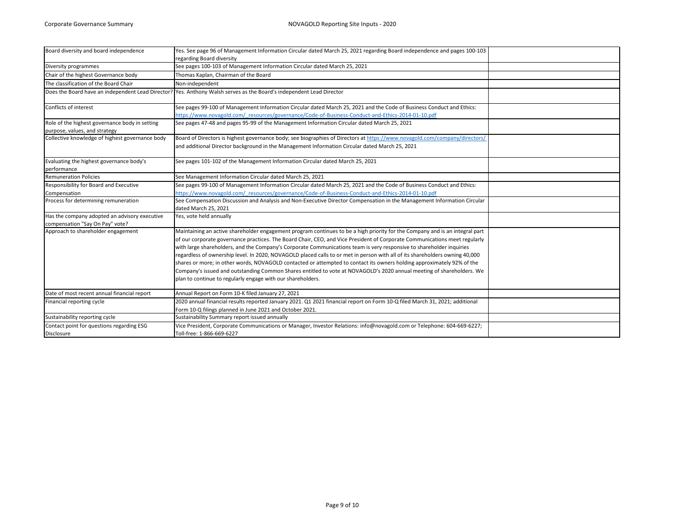| Board diversity and board independence                                           | Yes. See page 96 of Management Information Circular dated March 25, 2021 regarding Board independence and pages 100-103<br>regarding Board diversity                                                                                                                                                                                                                                                                                                                                                                                                                                                                                                                                                                                                                                                                                 |  |
|----------------------------------------------------------------------------------|--------------------------------------------------------------------------------------------------------------------------------------------------------------------------------------------------------------------------------------------------------------------------------------------------------------------------------------------------------------------------------------------------------------------------------------------------------------------------------------------------------------------------------------------------------------------------------------------------------------------------------------------------------------------------------------------------------------------------------------------------------------------------------------------------------------------------------------|--|
| Diversity programmes                                                             | See pages 100-103 of Management Information Circular dated March 25, 2021                                                                                                                                                                                                                                                                                                                                                                                                                                                                                                                                                                                                                                                                                                                                                            |  |
| Chair of the highest Governance body                                             | Thomas Kaplan, Chairman of the Board                                                                                                                                                                                                                                                                                                                                                                                                                                                                                                                                                                                                                                                                                                                                                                                                 |  |
| The classification of the Board Chair                                            | Non-independent                                                                                                                                                                                                                                                                                                                                                                                                                                                                                                                                                                                                                                                                                                                                                                                                                      |  |
|                                                                                  | Does the Board have an independent Lead Director? Yes. Anthony Walsh serves as the Board's independent Lead Director                                                                                                                                                                                                                                                                                                                                                                                                                                                                                                                                                                                                                                                                                                                 |  |
| Conflicts of interest                                                            | See pages 99-100 of Management Information Circular dated March 25, 2021 and the Code of Business Conduct and Ethics:                                                                                                                                                                                                                                                                                                                                                                                                                                                                                                                                                                                                                                                                                                                |  |
| Role of the highest governance body in setting                                   | https://www.novagold.com/ resources/governance/Code-of-Business-Conduct-and-Ethics-2014-01-10.pdf<br>See pages 47-48 and pages 95-99 of the Management Information Circular dated March 25, 2021                                                                                                                                                                                                                                                                                                                                                                                                                                                                                                                                                                                                                                     |  |
| purpose, values, and strategy                                                    |                                                                                                                                                                                                                                                                                                                                                                                                                                                                                                                                                                                                                                                                                                                                                                                                                                      |  |
| Collective knowledge of highest governance body                                  | Board of Directors is highest governance body; see biographies of Directors at https://www.novagold.com/company/directors/<br>and additional Director background in the Management Information Circular dated March 25, 2021                                                                                                                                                                                                                                                                                                                                                                                                                                                                                                                                                                                                         |  |
| Evaluating the highest governance body's<br>performance                          | See pages 101-102 of the Management Information Circular dated March 25, 2021                                                                                                                                                                                                                                                                                                                                                                                                                                                                                                                                                                                                                                                                                                                                                        |  |
| <b>Remuneration Policies</b>                                                     | See Management Information Circular dated March 25, 2021                                                                                                                                                                                                                                                                                                                                                                                                                                                                                                                                                                                                                                                                                                                                                                             |  |
| Responsibility for Board and Executive                                           | See pages 99-100 of Management Information Circular dated March 25, 2021 and the Code of Business Conduct and Ethics:                                                                                                                                                                                                                                                                                                                                                                                                                                                                                                                                                                                                                                                                                                                |  |
| Compensation                                                                     | https://www.novagold.com/ resources/governance/Code-of-Business-Conduct-and-Ethics-2014-01-10.pdf                                                                                                                                                                                                                                                                                                                                                                                                                                                                                                                                                                                                                                                                                                                                    |  |
| Process for determining remuneration                                             | See Compensation Discussion and Analysis and Non-Executive Director Compensation in the Management Information Circular                                                                                                                                                                                                                                                                                                                                                                                                                                                                                                                                                                                                                                                                                                              |  |
|                                                                                  | dated March 25, 2021                                                                                                                                                                                                                                                                                                                                                                                                                                                                                                                                                                                                                                                                                                                                                                                                                 |  |
| Has the company adopted an advisory executive<br>compensation "Say On Pay" vote? | Yes, vote held annually                                                                                                                                                                                                                                                                                                                                                                                                                                                                                                                                                                                                                                                                                                                                                                                                              |  |
| Approach to shareholder engagement                                               | Maintaining an active shareholder engagement program continues to be a high priority for the Company and is an integral part<br>of our corporate governance practices. The Board Chair, CEO, and Vice President of Corporate Communications meet regularly<br>with large shareholders, and the Company's Corporate Communications team is very responsive to shareholder inquiries<br>regardless of ownership level. In 2020, NOVAGOLD placed calls to or met in person with all of its shareholders owning 40,000<br>shares or more; in other words, NOVAGOLD contacted or attempted to contact its owners holding approximately 92% of the<br>Company's issued and outstanding Common Shares entitled to vote at NOVAGOLD's 2020 annual meeting of shareholders. We<br>plan to continue to regularly engage with our shareholders. |  |
| Date of most recent annual financial report                                      | Annual Report on Form 10-K filed January 27, 2021                                                                                                                                                                                                                                                                                                                                                                                                                                                                                                                                                                                                                                                                                                                                                                                    |  |
| Financial reporting cycle                                                        | 2020 annual financial results reported January 2021. Q1 2021 financial report on Form 10-Q filed March 31, 2021; additional<br>Form 10-Q filings planned in June 2021 and October 2021.                                                                                                                                                                                                                                                                                                                                                                                                                                                                                                                                                                                                                                              |  |
| Sustainability reporting cycle                                                   | Sustainability Summary report issued annually                                                                                                                                                                                                                                                                                                                                                                                                                                                                                                                                                                                                                                                                                                                                                                                        |  |
| Contact point for questions regarding ESG<br><b>Disclosure</b>                   | Vice President, Corporate Communications or Manager, Investor Relations: info@novagold.com or Telephone: 604-669-6227;<br>Toll-free: 1-866-669-6227                                                                                                                                                                                                                                                                                                                                                                                                                                                                                                                                                                                                                                                                                  |  |